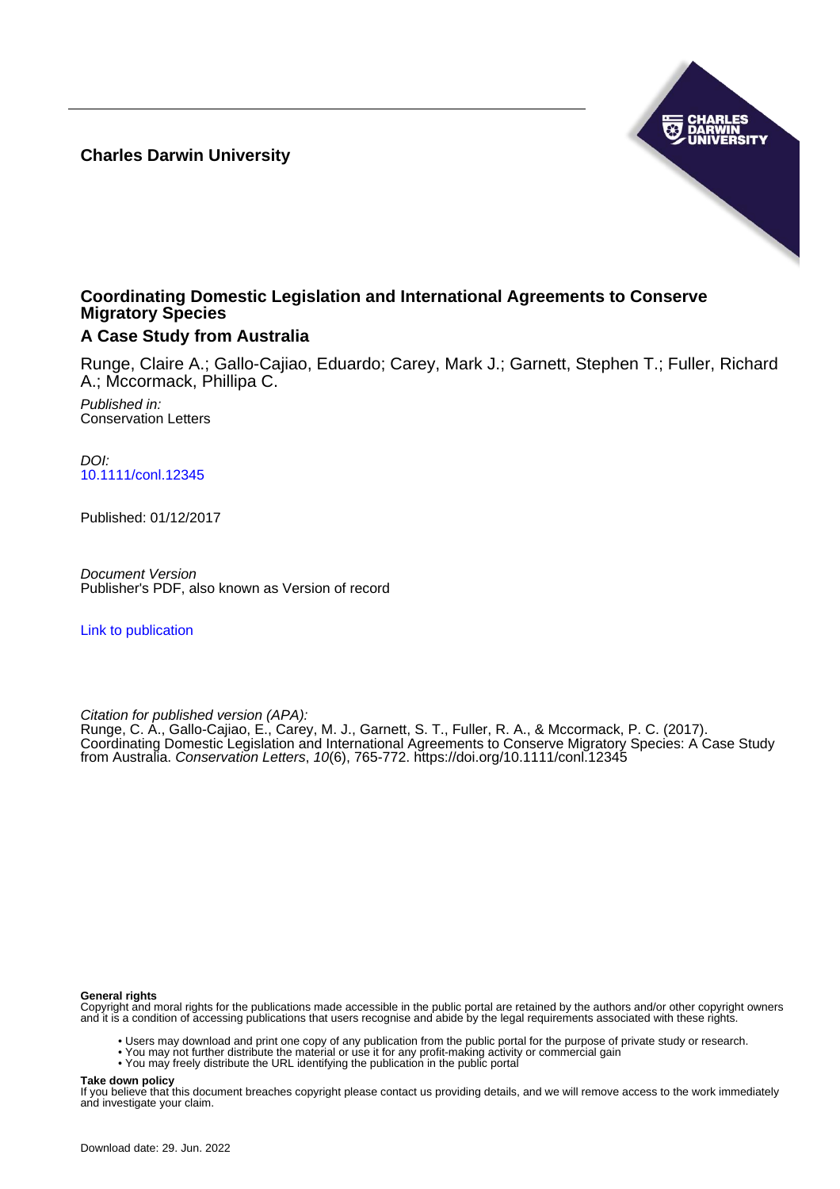**Charles Darwin University**



# **Coordinating Domestic Legislation and International Agreements to Conserve Migratory Species**

# **A Case Study from Australia**

Runge, Claire A.; Gallo-Cajiao, Eduardo; Carey, Mark J.; Garnett, Stephen T.; Fuller, Richard A.; Mccormack, Phillipa C.

Published in: Conservation Letters

DOI: [10.1111/conl.12345](https://doi.org/10.1111/conl.12345)

Published: 01/12/2017

Document Version Publisher's PDF, also known as Version of record

[Link to publication](https://researchers.cdu.edu.au/en/publications/3c0a9596-598b-403a-aee2-6cccbbf3e802)

Citation for published version (APA):

Runge, C. A., Gallo-Cajiao, E., Carey, M. J., Garnett, S. T., Fuller, R. A., & Mccormack, P. C. (2017). Coordinating Domestic Legislation and International Agreements to Conserve Migratory Species: A Case Study from Australia. Conservation Letters, 10(6), 765-772.<https://doi.org/10.1111/conl.12345>

#### **General rights**

Copyright and moral rights for the publications made accessible in the public portal are retained by the authors and/or other copyright owners and it is a condition of accessing publications that users recognise and abide by the legal requirements associated with these rights.

- Users may download and print one copy of any publication from the public portal for the purpose of private study or research.
- You may not further distribute the material or use it for any profit-making activity or commercial gain
- You may freely distribute the URL identifying the publication in the public portal

#### **Take down policy**

If you believe that this document breaches copyright please contact us providing details, and we will remove access to the work immediately and investigate your claim.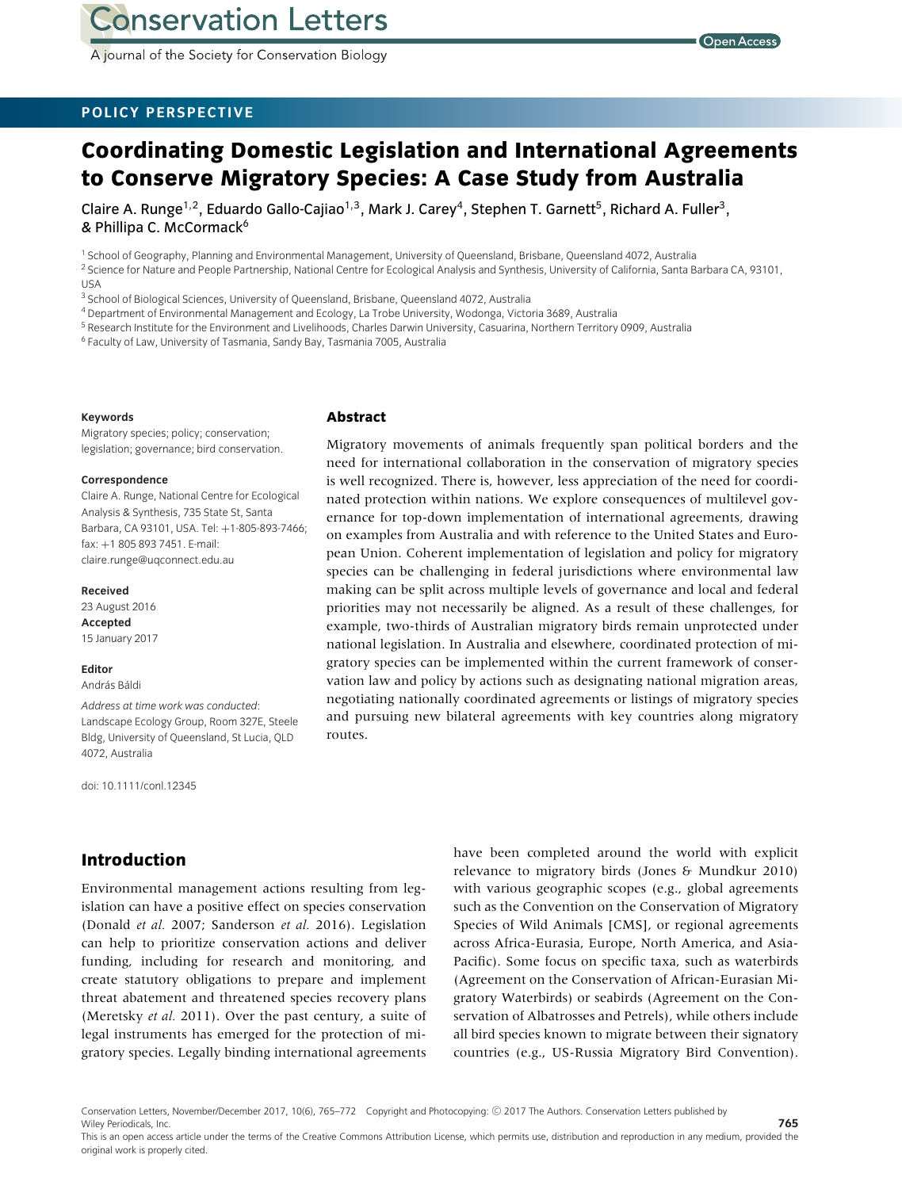A journal of the Society for Conservation Biology

## **POLICY PERSPECTIVE**

# **Coordinating Domestic Legislation and International Agreements to Conserve Migratory Species: A Case Study from Australia**

Claire A. Runge<sup>1,2</sup>, Eduardo Gallo-Cajiao<sup>1,3</sup>, Mark J. Carey<sup>4</sup>, Stephen T. Garnett<sup>5</sup>, Richard A. Fuller<sup>3</sup>, & Phillipa C. McCormack<sup>6</sup>

<sup>1</sup> School of Geography, Planning and Environmental Management, University of Queensland, Brisbane, Queensland 4072, Australia

<sup>2</sup> Science for Nature and People Partnership, National Centre for Ecological Analysis and Synthesis, University of California, Santa Barbara CA, 93101,

<sup>3</sup> School of Biological Sciences, University of Queensland, Brisbane, Queensland 4072, Australia

<sup>4</sup> Department of Environmental Management and Ecology, La Trobe University, Wodonga, Victoria 3689, Australia

<sup>5</sup> Research Institute for the Environment and Livelihoods, Charles Darwin University, Casuarina, Northern Territory 0909, Australia

<sup>6</sup> Faculty of Law, University of Tasmania, Sandy Bay, Tasmania 7005, Australia

#### **Keywords**

Migratory species; policy; conservation; legislation; governance; bird conservation.

#### **Correspondence**

Claire A. Runge, National Centre for Ecological Analysis & Synthesis, 735 State St, Santa Barbara, CA 93101, USA. Tel: +1-805-893-7466; fax: +1 805 893 7451. E-mail: claire.runge@uqconnect.edu.au

#### **Received**

23 August 2016 **Accepted** 15 January 2017

#### **Editor**

András Báldi

*Address at time work was conducted*: Landscape Ecology Group, Room 327E, Steele Bldg, University of Queensland, St Lucia, QLD 4072, Australia

doi: 10.1111/conl.12345

#### **Abstract**

Migratory movements of animals frequently span political borders and the need for international collaboration in the conservation of migratory species is well recognized. There is, however, less appreciation of the need for coordinated protection within nations. We explore consequences of multilevel governance for top-down implementation of international agreements, drawing on examples from Australia and with reference to the United States and European Union. Coherent implementation of legislation and policy for migratory species can be challenging in federal jurisdictions where environmental law making can be split across multiple levels of governance and local and federal priorities may not necessarily be aligned. As a result of these challenges, for example, two-thirds of Australian migratory birds remain unprotected under national legislation. In Australia and elsewhere, coordinated protection of migratory species can be implemented within the current framework of conservation law and policy by actions such as designating national migration areas, negotiating nationally coordinated agreements or listings of migratory species and pursuing new bilateral agreements with key countries along migratory routes.

#### **Introduction**

Environmental management actions resulting from legislation can have a positive effect on species conservation (Donald *et al.* 2007; Sanderson *et al.* 2016). Legislation can help to prioritize conservation actions and deliver funding, including for research and monitoring, and create statutory obligations to prepare and implement threat abatement and threatened species recovery plans (Meretsky *et al.* 2011). Over the past century, a suite of legal instruments has emerged for the protection of migratory species. Legally binding international agreements have been completed around the world with explicit relevance to migratory birds (Jones & Mundkur 2010) with various geographic scopes (e.g., global agreements such as the Convention on the Conservation of Migratory Species of Wild Animals [CMS], or regional agreements across Africa-Eurasia, Europe, North America, and Asia-Pacific). Some focus on specific taxa, such as waterbirds (Agreement on the Conservation of African-Eurasian Migratory Waterbirds) or seabirds (Agreement on the Conservation of Albatrosses and Petrels), while others include all bird species known to migrate between their signatory countries (e.g., US-Russia Migratory Bird Convention).

USA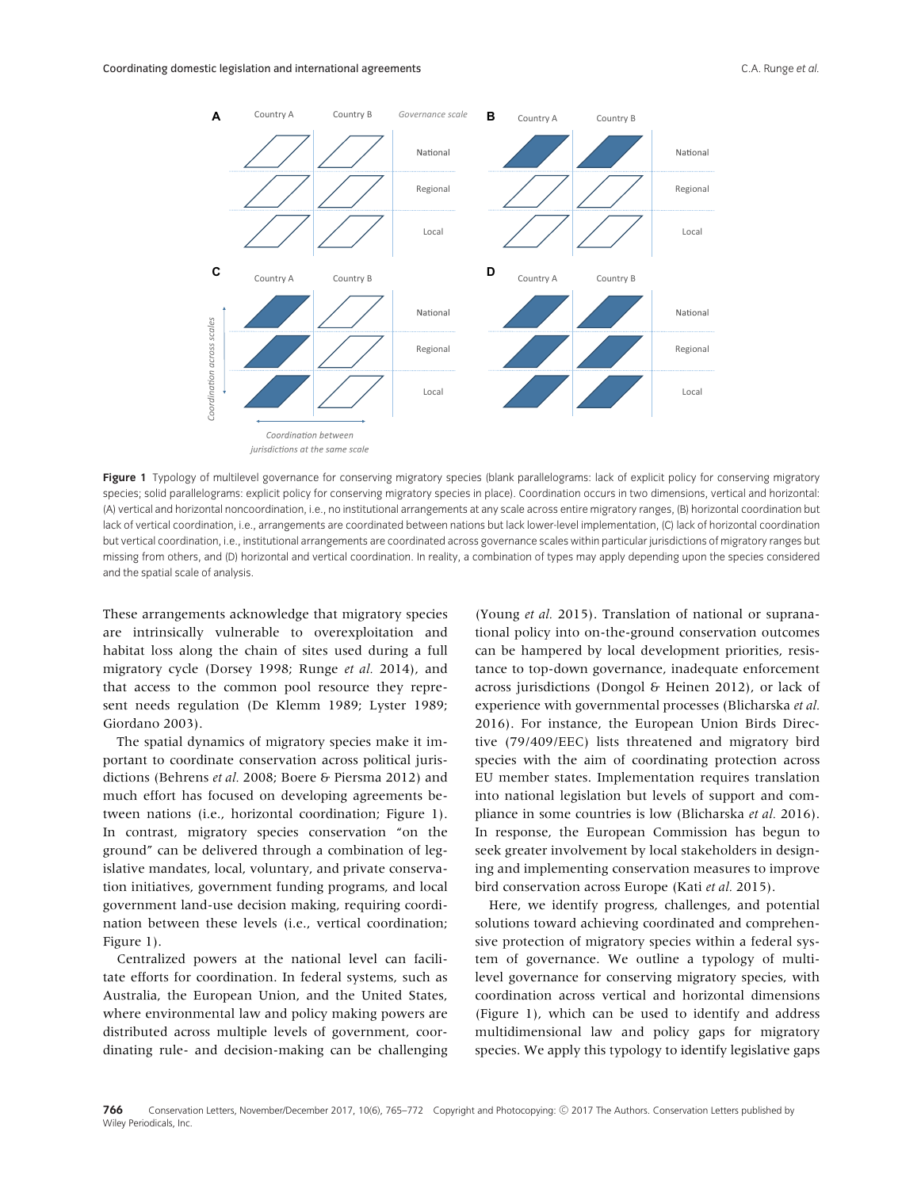

Figure 1 Typology of multilevel governance for conserving migratory species (blank parallelograms: lack of explicit policy for conserving migratory species; solid parallelograms: explicit policy for conserving migratory species in place). Coordination occurs in two dimensions, vertical and horizontal: (A) vertical and horizontal noncoordination, i.e., no institutional arrangements at any scale across entire migratory ranges, (B) horizontal coordination but lack of vertical coordination, i.e., arrangements are coordinated between nations but lack lower-level implementation, (C) lack of horizontal coordination but vertical coordination, i.e., institutional arrangements are coordinated across governance scales within particular jurisdictions of migratory ranges but missing from others, and (D) horizontal and vertical coordination. In reality, a combination of types may apply depending upon the species considered and the spatial scale of analysis.

These arrangements acknowledge that migratory species are intrinsically vulnerable to overexploitation and habitat loss along the chain of sites used during a full migratory cycle (Dorsey 1998; Runge *et al.* 2014), and that access to the common pool resource they represent needs regulation (De Klemm 1989; Lyster 1989; Giordano 2003).

The spatial dynamics of migratory species make it important to coordinate conservation across political jurisdictions (Behrens *et al.* 2008; Boere & Piersma 2012) and much effort has focused on developing agreements between nations (i.e., horizontal coordination; Figure 1). In contrast, migratory species conservation "on the ground" can be delivered through a combination of legislative mandates, local, voluntary, and private conservation initiatives, government funding programs, and local government land-use decision making, requiring coordination between these levels (i.e., vertical coordination; Figure 1).

Centralized powers at the national level can facilitate efforts for coordination. In federal systems, such as Australia, the European Union, and the United States, where environmental law and policy making powers are distributed across multiple levels of government, coordinating rule- and decision-making can be challenging (Young *et al.* 2015). Translation of national or supranational policy into on-the-ground conservation outcomes can be hampered by local development priorities, resistance to top-down governance, inadequate enforcement across jurisdictions (Dongol & Heinen 2012), or lack of experience with governmental processes (Blicharska *et al.* 2016). For instance, the European Union Birds Directive (79/409/EEC) lists threatened and migratory bird species with the aim of coordinating protection across EU member states. Implementation requires translation into national legislation but levels of support and compliance in some countries is low (Blicharska *et al.* 2016). In response, the European Commission has begun to seek greater involvement by local stakeholders in designing and implementing conservation measures to improve bird conservation across Europe (Kati *et al.* 2015).

Here, we identify progress, challenges, and potential solutions toward achieving coordinated and comprehensive protection of migratory species within a federal system of governance. We outline a typology of multilevel governance for conserving migratory species, with coordination across vertical and horizontal dimensions (Figure 1), which can be used to identify and address multidimensional law and policy gaps for migratory species. We apply this typology to identify legislative gaps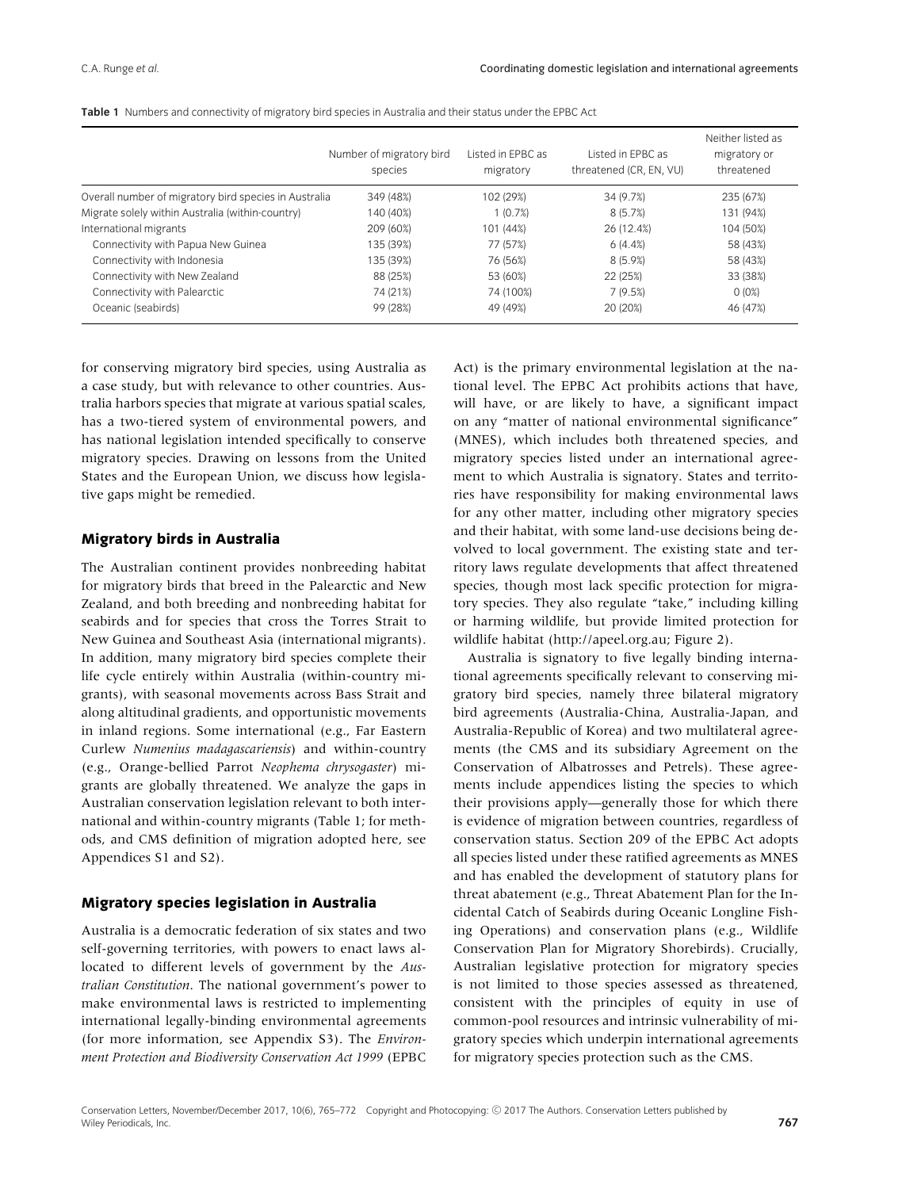|                                                       | Number of migratory bird<br>species | Listed in EPBC as<br>migratory | Listed in EPBC as<br>threatened (CR, EN, VU) | Neither listed as<br>migratory or<br>threatened |
|-------------------------------------------------------|-------------------------------------|--------------------------------|----------------------------------------------|-------------------------------------------------|
| Overall number of migratory bird species in Australia | 349 (48%)                           | 102 (29%)                      | 34 (9.7%)                                    | 235 (67%)                                       |
| Migrate solely within Australia (within-country)      | 140 (40%)                           | 1(0.7%)                        | 8(5.7%)                                      | 131 (94%)                                       |
| International migrants                                | 209 (60%)                           | 101 (44%)                      | 26 (12.4%)                                   | 104 (50%)                                       |
| Connectivity with Papua New Guinea                    | 135 (39%)                           | 77 (57%)                       | 6(4.4%                                       | 58 (43%)                                        |
| Connectivity with Indonesia                           | 135 (39%)                           | 76 (56%)                       | 8 (5.9%)                                     | 58 (43%)                                        |
| Connectivity with New Zealand                         | 88 (25%)                            | 53 (60%)                       | 22 (25%)                                     | 33 (38%)                                        |
| Connectivity with Palearctic                          | 74 (21%)                            | 74 (100%)                      | 7(9.5%)                                      | $0(0\%)$                                        |
| Oceanic (seabirds)                                    | 99 (28%)                            | 49 (49%)                       | 20 (20%)                                     | 46 (47%)                                        |

**Table 1** Numbers and connectivity of migratory bird species in Australia and their status under the EPBC Act

for conserving migratory bird species, using Australia as a case study, but with relevance to other countries. Australia harbors species that migrate at various spatial scales, has a two-tiered system of environmental powers, and has national legislation intended specifically to conserve migratory species. Drawing on lessons from the United States and the European Union, we discuss how legislative gaps might be remedied.

#### **Migratory birds in Australia**

The Australian continent provides nonbreeding habitat for migratory birds that breed in the Palearctic and New Zealand, and both breeding and nonbreeding habitat for seabirds and for species that cross the Torres Strait to New Guinea and Southeast Asia (international migrants). In addition, many migratory bird species complete their life cycle entirely within Australia (within-country migrants), with seasonal movements across Bass Strait and along altitudinal gradients, and opportunistic movements in inland regions. Some international (e.g., Far Eastern Curlew *Numenius madagascariensis*) and within-country (e.g., Orange-bellied Parrot *Neophema chrysogaster*) migrants are globally threatened. We analyze the gaps in Australian conservation legislation relevant to both international and within-country migrants (Table 1; for methods, and CMS definition of migration adopted here, see Appendices S1 and S2).

#### **Migratory species legislation in Australia**

Australia is a democratic federation of six states and two self-governing territories, with powers to enact laws allocated to different levels of government by the *Australian Constitution*. The national government's power to make environmental laws is restricted to implementing international legally-binding environmental agreements (for more information, see Appendix S3). The *Environment Protection and Biodiversity Conservation Act 1999* (EPBC Act) is the primary environmental legislation at the national level. The EPBC Act prohibits actions that have, will have, or are likely to have, a significant impact on any "matter of national environmental significance" (MNES), which includes both threatened species, and migratory species listed under an international agreement to which Australia is signatory. States and territories have responsibility for making environmental laws for any other matter, including other migratory species and their habitat, with some land-use decisions being devolved to local government. The existing state and territory laws regulate developments that affect threatened species, though most lack specific protection for migratory species. They also regulate "take," including killing or harming wildlife, but provide limited protection for wildlife habitat [\(http://apeel.org.au;](http://apeel.org.au;) Figure 2).

Australia is signatory to five legally binding international agreements specifically relevant to conserving migratory bird species, namely three bilateral migratory bird agreements (Australia-China, Australia-Japan, and Australia-Republic of Korea) and two multilateral agreements (the CMS and its subsidiary Agreement on the Conservation of Albatrosses and Petrels). These agreements include appendices listing the species to which their provisions apply—generally those for which there is evidence of migration between countries, regardless of conservation status. Section 209 of the EPBC Act adopts all species listed under these ratified agreements as MNES and has enabled the development of statutory plans for threat abatement (e.g., Threat Abatement Plan for the Incidental Catch of Seabirds during Oceanic Longline Fishing Operations) and conservation plans (e.g., Wildlife Conservation Plan for Migratory Shorebirds). Crucially, Australian legislative protection for migratory species is not limited to those species assessed as threatened, consistent with the principles of equity in use of common-pool resources and intrinsic vulnerability of migratory species which underpin international agreements for migratory species protection such as the CMS.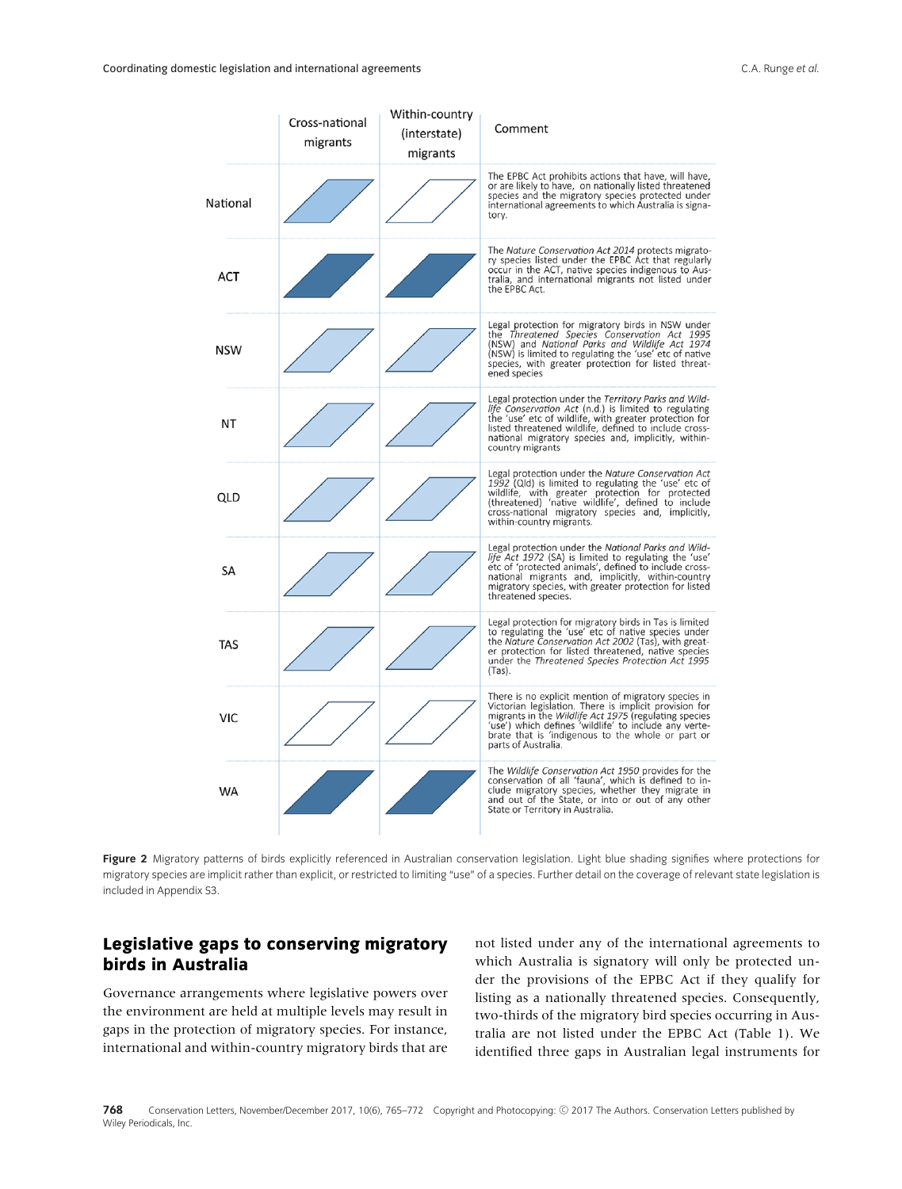| Within-country<br>Cross-national |          |              |                                                                                                                                                                                                                                                                                                              |  |  |
|----------------------------------|----------|--------------|--------------------------------------------------------------------------------------------------------------------------------------------------------------------------------------------------------------------------------------------------------------------------------------------------------------|--|--|
|                                  | migrants | (interstate) | Comment                                                                                                                                                                                                                                                                                                      |  |  |
|                                  |          | migrants     |                                                                                                                                                                                                                                                                                                              |  |  |
| National                         |          |              | The EPBC Act prohibits actions that have, will have,<br>or are likely to have, on nationally listed threatened<br>species and the migratory species protected under<br>international agreements to which Australia is signa-<br>torv.                                                                        |  |  |
| <b>ACT</b>                       |          |              | The Nature Conservation Act 2014 protects migratory species listed under the EPBC Act that regularly occur in the ACT, native species indigenous to Aus-<br>tralia, and international migrants not listed under<br>the EPBC Act.                                                                             |  |  |
| <b>NSW</b>                       |          |              | Legal protection for migratory birds in NSW under<br>the Threatened Species Conservation Act 1995<br>(NSW) and National Parks and Wildlife Act 1974<br>(NSW) is limited to regulating the 'use' etc of native<br>species, with greater protection for listed threat-<br>ened species                         |  |  |
| NΤ                               |          |              | Legal protection under the Territory Parks and Wild-<br>life Conservation Act (n.d.) is limited to regulating<br>the 'use' etc of wildlife, with greater protection for<br>listed threatened wildlife, defined to include cross-<br>national migratory species and, implicitly, within-<br>country migrants  |  |  |
| QLD                              |          |              | Legal protection under the Nature Conservation Act<br>1992 (Qld) is limited to regulating the 'use' etc of<br>wildlife, with greater protection for protected<br>(threatened) 'native wildlife', defined to include<br>cross-national migratory species and, implicitly,<br>within-country migrants.         |  |  |
| SА                               |          |              | Legal protection under the National Parks and Wild-<br>life Act 1972 (SA) is limited to regulating the 'use'<br>etc of 'protected animals', defined to include cross-<br>national migrants and, implicitly, within-country<br>migratory species, with greater protection for listed<br>threatened species.   |  |  |
| TAS                              |          |              | Legal protection for migratory birds in Tas is limited<br>to regulating the 'use' etc of native species under<br>the Nature Conservation Act 2002 (Tas), with great-<br>er protection for listed threatened, native species<br>under the Threatened Species Protection Act 1995<br>(Tas).                    |  |  |
| VIC                              |          |              | There is no explicit mention of migratory species in<br>Victorian legislation. There is implicit provision for<br>migrants in the Wildlife Act 1975 (regulating species<br>'use') which defines 'wildlife' to include any verte-<br>brate that is 'indigenous to the whole or part or<br>parts of Australia. |  |  |
| <b>WA</b>                        |          |              | The Wildlife Conservation Act 1950 provides for the<br>conservation of all 'fauna', which is defined to in-<br>clude migratory species, whether they migrate in<br>and out of the State, or into or out of any other<br>State or Territory in Australia.                                                     |  |  |

Figure 2 Migratory patterns of birds explicitly referenced in Australian conservation legislation. Light blue shading signifies where protections for migratory species are implicit rather than explicit, or restricted to limiting "use" of a species. Further detail on the coverage of relevant state legislation is included in Appendix S3.

# **Legislative gaps to conserving migratory birds in Australia**

Governance arrangements where legislative powers over the environment are held at multiple levels may result in gaps in the protection of migratory species. For instance, international and within-country migratory birds that are

not listed under any of the international agreements to which Australia is signatory will only be protected under the provisions of the EPBC Act if they qualify for listing as a nationally threatened species. Consequently, two-thirds of the migratory bird species occurring in Australia are not listed under the EPBC Act (Table 1). We identified three gaps in Australian legal instruments for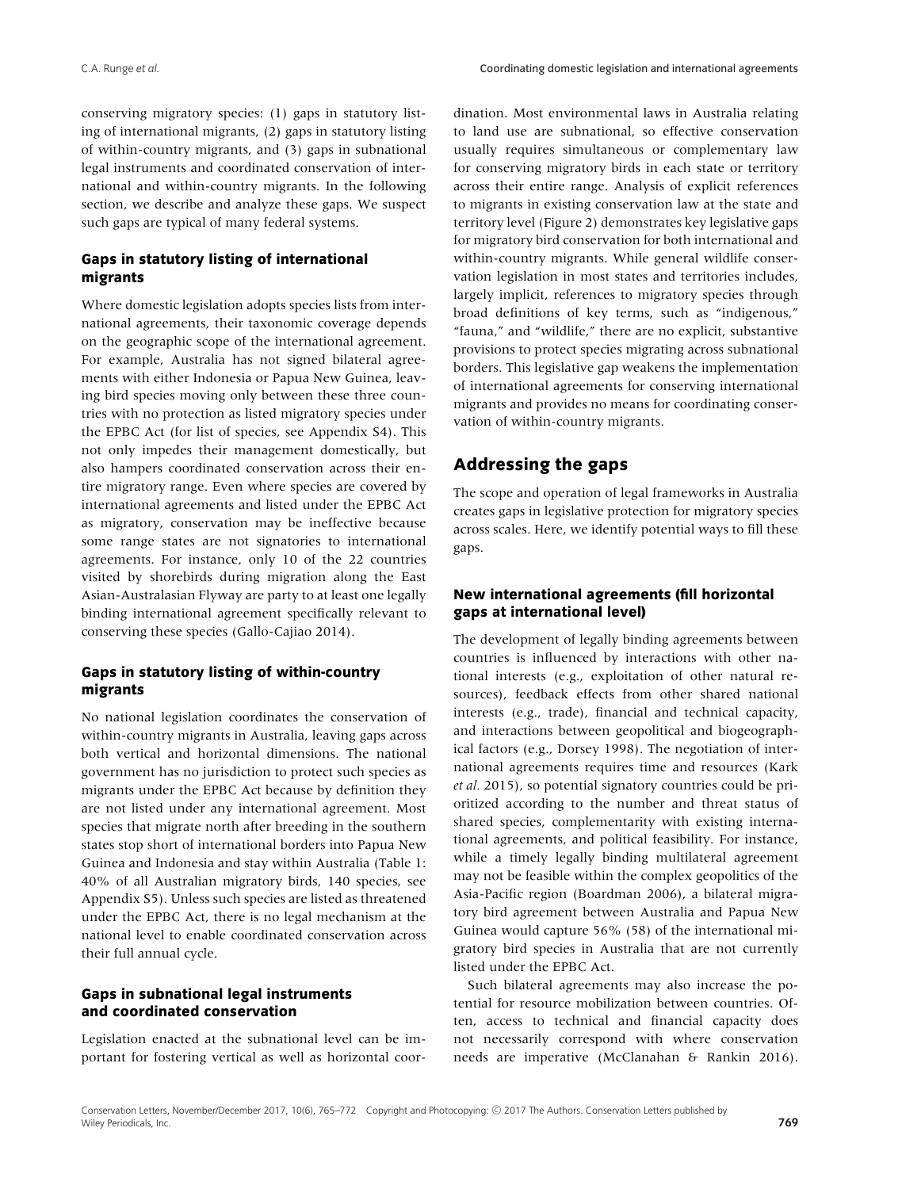conserving migratory species: (1) gaps in statutory listing of international migrants, (2) gaps in statutory listing of within-country migrants, and (3) gaps in subnational legal instruments and coordinated conservation of international and within-country migrants. In the following section, we describe and analyze these gaps. We suspect such gaps are typical of many federal systems.

### **Gaps in statutory listing of international migrants**

Where domestic legislation adopts species lists from international agreements, their taxonomic coverage depends on the geographic scope of the international agreement. For example, Australia has not signed bilateral agreements with either Indonesia or Papua New Guinea, leaving bird species moving only between these three countries with no protection as listed migratory species under the EPBC Act (for list of species, see Appendix S4). This not only impedes their management domestically, but also hampers coordinated conservation across their entire migratory range. Even where species are covered by international agreements and listed under the EPBC Act as migratory, conservation may be ineffective because some range states are not signatories to international agreements. For instance, only 10 of the 22 countries visited by shorebirds during migration along the East Asian-Australasian Flyway are party to at least one legally binding international agreement specifically relevant to conserving these species (Gallo-Cajiao 2014).

### **Gaps in statutory listing of within-country migrants**

No national legislation coordinates the conservation of within-country migrants in Australia, leaving gaps across both vertical and horizontal dimensions. The national government has no jurisdiction to protect such species as migrants under the EPBC Act because by definition they are not listed under any international agreement. Most species that migrate north after breeding in the southern states stop short of international borders into Papua New Guinea and Indonesia and stay within Australia (Table 1: 40% of all Australian migratory birds, 140 species, see Appendix S5). Unless such species are listed as threatened under the EPBC Act, there is no legal mechanism at the national level to enable coordinated conservation across their full annual cycle.

### **Gaps in subnational legal instruments and coordinated conservation**

Legislation enacted at the subnational level can be important for fostering vertical as well as horizontal coordination. Most environmental laws in Australia relating to land use are subnational, so effective conservation usually requires simultaneous or complementary law for conserving migratory birds in each state or territory across their entire range. Analysis of explicit references to migrants in existing conservation law at the state and territory level (Figure 2) demonstrates key legislative gaps for migratory bird conservation for both international and within-country migrants. While general wildlife conservation legislation in most states and territories includes, largely implicit, references to migratory species through broad definitions of key terms, such as "indigenous," "fauna," and "wildlife," there are no explicit, substantive provisions to protect species migrating across subnational borders. This legislative gap weakens the implementation of international agreements for conserving international migrants and provides no means for coordinating conservation of within-country migrants.

# **Addressing the gaps**

The scope and operation of legal frameworks in Australia creates gaps in legislative protection for migratory species across scales. Here, we identify potential ways to fill these gaps.

### **New international agreements (fill horizontal gaps at international level)**

The development of legally binding agreements between countries is influenced by interactions with other national interests (e.g., exploitation of other natural resources), feedback effects from other shared national interests (e.g., trade), financial and technical capacity, and interactions between geopolitical and biogeographical factors (e.g., Dorsey 1998). The negotiation of international agreements requires time and resources (Kark *et al.* 2015), so potential signatory countries could be prioritized according to the number and threat status of shared species, complementarity with existing international agreements, and political feasibility. For instance, while a timely legally binding multilateral agreement may not be feasible within the complex geopolitics of the Asia-Pacific region (Boardman 2006), a bilateral migratory bird agreement between Australia and Papua New Guinea would capture 56% (58) of the international migratory bird species in Australia that are not currently listed under the EPBC Act.

Such bilateral agreements may also increase the potential for resource mobilization between countries. Often, access to technical and financial capacity does not necessarily correspond with where conservation needs are imperative (McClanahan & Rankin 2016).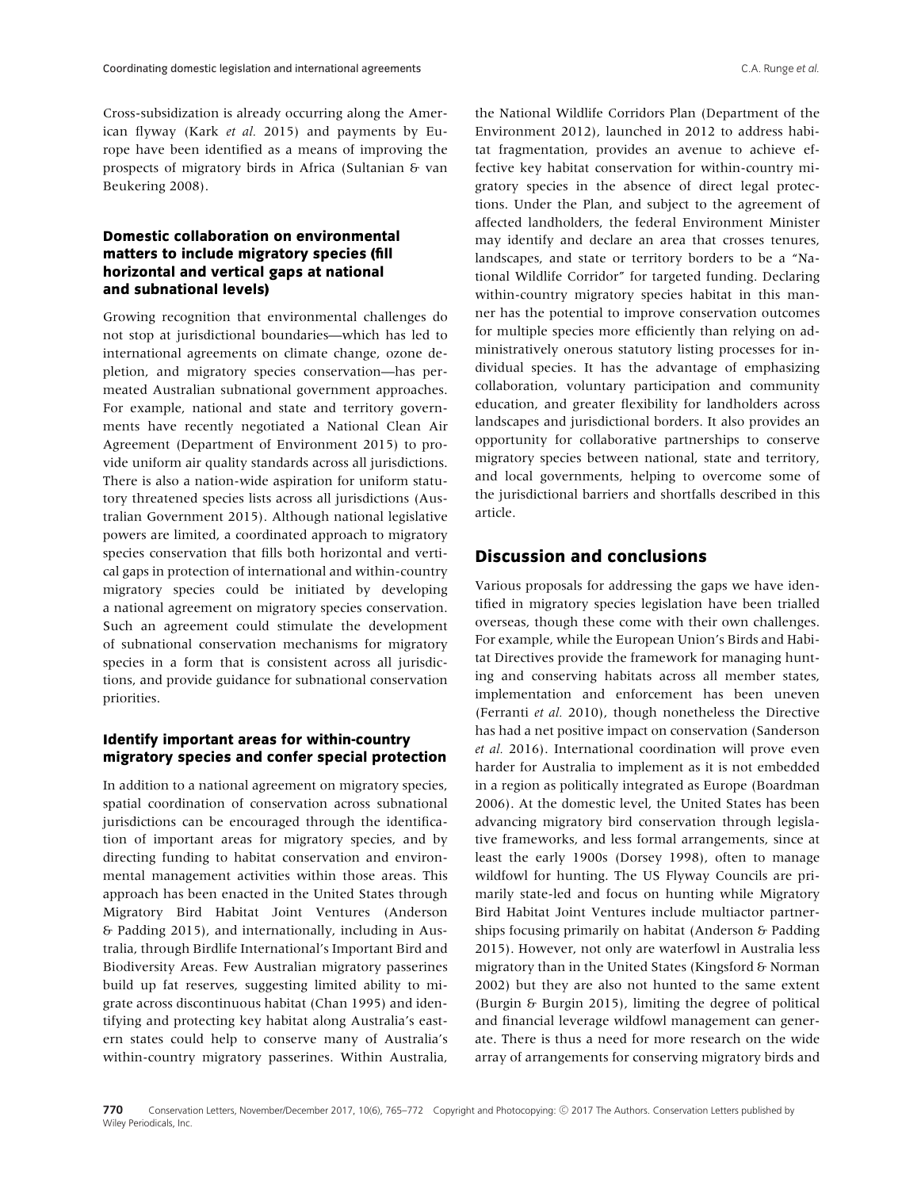Cross-subsidization is already occurring along the American flyway (Kark *et al.* 2015) and payments by Europe have been identified as a means of improving the prospects of migratory birds in Africa (Sultanian & van Beukering 2008).

### **Domestic collaboration on environmental matters to include migratory species (fill horizontal and vertical gaps at national and subnational levels)**

Growing recognition that environmental challenges do not stop at jurisdictional boundaries—which has led to international agreements on climate change, ozone depletion, and migratory species conservation—has permeated Australian subnational government approaches. For example, national and state and territory governments have recently negotiated a National Clean Air Agreement (Department of Environment 2015) to provide uniform air quality standards across all jurisdictions. There is also a nation-wide aspiration for uniform statutory threatened species lists across all jurisdictions (Australian Government 2015). Although national legislative powers are limited, a coordinated approach to migratory species conservation that fills both horizontal and vertical gaps in protection of international and within-country migratory species could be initiated by developing a national agreement on migratory species conservation. Such an agreement could stimulate the development of subnational conservation mechanisms for migratory species in a form that is consistent across all jurisdictions, and provide guidance for subnational conservation priorities.

#### **Identify important areas for within-country migratory species and confer special protection**

In addition to a national agreement on migratory species, spatial coordination of conservation across subnational jurisdictions can be encouraged through the identification of important areas for migratory species, and by directing funding to habitat conservation and environmental management activities within those areas. This approach has been enacted in the United States through Migratory Bird Habitat Joint Ventures (Anderson & Padding 2015), and internationally, including in Australia, through Birdlife International's Important Bird and Biodiversity Areas. Few Australian migratory passerines build up fat reserves, suggesting limited ability to migrate across discontinuous habitat (Chan 1995) and identifying and protecting key habitat along Australia's eastern states could help to conserve many of Australia's within-country migratory passerines. Within Australia, the National Wildlife Corridors Plan (Department of the Environment 2012), launched in 2012 to address habitat fragmentation, provides an avenue to achieve effective key habitat conservation for within-country migratory species in the absence of direct legal protections. Under the Plan, and subject to the agreement of affected landholders, the federal Environment Minister may identify and declare an area that crosses tenures, landscapes, and state or territory borders to be a "National Wildlife Corridor" for targeted funding. Declaring within-country migratory species habitat in this manner has the potential to improve conservation outcomes for multiple species more efficiently than relying on administratively onerous statutory listing processes for individual species. It has the advantage of emphasizing collaboration, voluntary participation and community education, and greater flexibility for landholders across landscapes and jurisdictional borders. It also provides an opportunity for collaborative partnerships to conserve migratory species between national, state and territory, and local governments, helping to overcome some of the jurisdictional barriers and shortfalls described in this article.

## **Discussion and conclusions**

Various proposals for addressing the gaps we have identified in migratory species legislation have been trialled overseas, though these come with their own challenges. For example, while the European Union's Birds and Habitat Directives provide the framework for managing hunting and conserving habitats across all member states, implementation and enforcement has been uneven (Ferranti *et al.* 2010), though nonetheless the Directive has had a net positive impact on conservation (Sanderson *et al.* 2016). International coordination will prove even harder for Australia to implement as it is not embedded in a region as politically integrated as Europe (Boardman 2006). At the domestic level, the United States has been advancing migratory bird conservation through legislative frameworks, and less formal arrangements, since at least the early 1900s (Dorsey 1998), often to manage wildfowl for hunting. The US Flyway Councils are primarily state-led and focus on hunting while Migratory Bird Habitat Joint Ventures include multiactor partnerships focusing primarily on habitat (Anderson & Padding 2015). However, not only are waterfowl in Australia less migratory than in the United States (Kingsford & Norman 2002) but they are also not hunted to the same extent (Burgin & Burgin 2015), limiting the degree of political and financial leverage wildfowl management can generate. There is thus a need for more research on the wide array of arrangements for conserving migratory birds and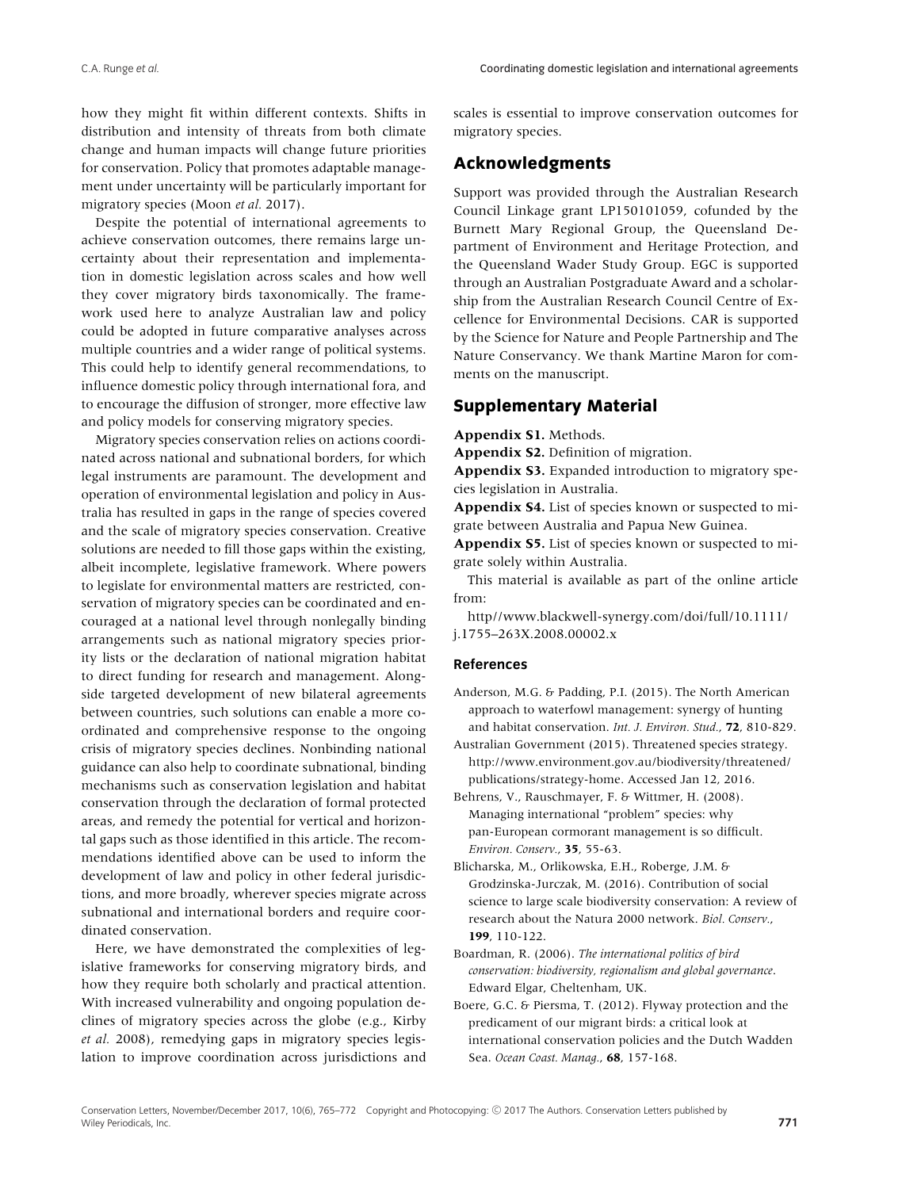how they might fit within different contexts. Shifts in distribution and intensity of threats from both climate change and human impacts will change future priorities for conservation. Policy that promotes adaptable management under uncertainty will be particularly important for migratory species (Moon *et al.* 2017).

Despite the potential of international agreements to achieve conservation outcomes, there remains large uncertainty about their representation and implementation in domestic legislation across scales and how well they cover migratory birds taxonomically. The framework used here to analyze Australian law and policy could be adopted in future comparative analyses across multiple countries and a wider range of political systems. This could help to identify general recommendations, to influence domestic policy through international fora, and to encourage the diffusion of stronger, more effective law and policy models for conserving migratory species.

Migratory species conservation relies on actions coordinated across national and subnational borders, for which legal instruments are paramount. The development and operation of environmental legislation and policy in Australia has resulted in gaps in the range of species covered and the scale of migratory species conservation. Creative solutions are needed to fill those gaps within the existing, albeit incomplete, legislative framework. Where powers to legislate for environmental matters are restricted, conservation of migratory species can be coordinated and encouraged at a national level through nonlegally binding arrangements such as national migratory species priority lists or the declaration of national migration habitat to direct funding for research and management. Alongside targeted development of new bilateral agreements between countries, such solutions can enable a more coordinated and comprehensive response to the ongoing crisis of migratory species declines. Nonbinding national guidance can also help to coordinate subnational, binding mechanisms such as conservation legislation and habitat conservation through the declaration of formal protected areas, and remedy the potential for vertical and horizontal gaps such as those identified in this article. The recommendations identified above can be used to inform the development of law and policy in other federal jurisdictions, and more broadly, wherever species migrate across subnational and international borders and require coordinated conservation.

Here, we have demonstrated the complexities of legislative frameworks for conserving migratory birds, and how they require both scholarly and practical attention. With increased vulnerability and ongoing population declines of migratory species across the globe (e.g., Kirby *et al.* 2008), remedying gaps in migratory species legislation to improve coordination across jurisdictions and

scales is essential to improve conservation outcomes for migratory species.

### **Acknowledgments**

Support was provided through the Australian Research Council Linkage grant LP150101059, cofunded by the Burnett Mary Regional Group, the Queensland Department of Environment and Heritage Protection, and the Queensland Wader Study Group. EGC is supported through an Australian Postgraduate Award and a scholarship from the Australian Research Council Centre of Excellence for Environmental Decisions. CAR is supported by the Science for Nature and People Partnership and The Nature Conservancy. We thank Martine Maron for comments on the manuscript.

## **Supplementary Material**

**Appendix S1.** Methods.

**Appendix S2.** Definition of migration.

**Appendix S3.** Expanded introduction to migratory species legislation in Australia.

**Appendix S4.** List of species known or suspected to migrate between Australia and Papua New Guinea.

**Appendix S5.** List of species known or suspected to migrate solely within Australia.

This material is available as part of the online article from:

[http//www.blackwell-synergy.com/doi/full/10.1111/](http://www.blackwell-synergy.com/doi/full/10.1111/j.1755263X.2008.00002.x) [j.1755–263X.2008.00002.x](http://www.blackwell-synergy.com/doi/full/10.1111/j.1755263X.2008.00002.x)

#### **References**

Anderson, M.G. & Padding, P.I. (2015). The North American approach to waterfowl management: synergy of hunting and habitat conservation. *Int. J. Environ. Stud.*, **72**, 810-829.

Australian Government (2015). Threatened species strategy. [http://www.environment.gov.au/biodiversity/threatened/](http://www.environment.gov.au/biodiversity/threatened/publications/strategy-home) [publications/strategy-home.](http://www.environment.gov.au/biodiversity/threatened/publications/strategy-home) Accessed Jan 12, 2016.

Behrens, V., Rauschmayer, F. & Wittmer, H. (2008). Managing international "problem" species: why pan-European cormorant management is so difficult. *Environ. Conserv.*, **35**, 55-63.

Blicharska, M., Orlikowska, E.H., Roberge, J.M. & Grodzinska-Jurczak, M. (2016). Contribution of social science to large scale biodiversity conservation: A review of research about the Natura 2000 network. *Biol. Conserv.*, **199**, 110-122.

Boardman, R. (2006). *The international politics of bird conservation: biodiversity, regionalism and global governance*. Edward Elgar, Cheltenham, UK.

Boere, G.C. & Piersma, T. (2012). Flyway protection and the predicament of our migrant birds: a critical look at international conservation policies and the Dutch Wadden Sea. *Ocean Coast. Manag.*, **68**, 157-168.